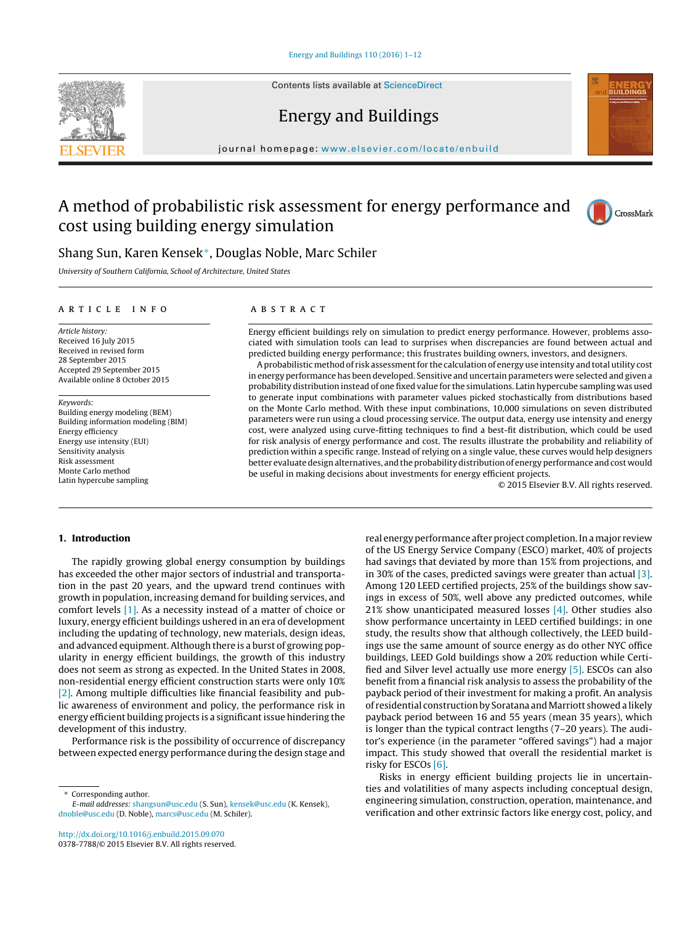Contents lists available at [ScienceDirect](http://www.sciencedirect.com/science/journal/03787788)





## Energy and Buildings

iournal homepage: [www.elsevier.com/locate/enbuild](http://www.elsevier.com/locate/enbuild)

# A method of probabilistic risk assessment for energy performance and cost using building energy simulation



### Shang Sun, Karen Kensek∗, Douglas Noble, Marc Schiler

University of Southern California, School of Architecture, United States

#### ARTICLE INFO

Article history: Received 16 July 2015 Received in revised form 28 September 2015 Accepted 29 September 2015 Available online 8 October 2015

Keywords: Building energy modeling (BEM) Building information modeling (BIM) Energy efficiency Energy use intensity (EUI) Sensitivity analysis Risk assessment Monte Carlo method Latin hypercube sampling

#### A B S T R A C T

Energy efficient buildings rely on simulation to predict energy performance. However, problems associated with simulation tools can lead to surprises when discrepancies are found between actual and predicted building energy performance; this frustrates building owners, investors, and designers.

Aprobabilistic method of risk assessmentfor the calculation of energy use intensity and total utility cost in energy performance has been developed. Sensitive and uncertain parameters were selected and given a probability distribution instead of one fixed value for the simulations. Latin hypercube sampling was used to generate input combinations with parameter values picked stochastically from distributions based on the Monte Carlo method. With these input combinations, 10,000 simulations on seven distributed parameters were run using a cloud processing service. The output data, energy use intensity and energy cost, were analyzed using curve-fitting techniques to find a best-fit distribution, which could be used for risk analysis of energy performance and cost. The results illustrate the probability and reliability of prediction within a specific range. Instead of relying on a single value, these curves would help designers better evaluate design alternatives, and the probability distribution of energy performance and cost would be useful in making decisions about investments for energy efficient projects.

© 2015 Elsevier B.V. All rights reserved.

#### **1. Introduction**

The rapidly growing global energy consumption by buildings has exceeded the other major sectors of industrial and transportation in the past 20 years, and the upward trend continues with growth in population, increasing demand for building services, and comfort levels [\[1\].](#page--1-0) As a necessity instead of a matter of choice or luxury, energy efficient buildings ushered in an era of development including the updating of technology, new materials, design ideas, and advanced equipment. Although there is a burst of growing popularity in energy efficient buildings, the growth of this industry does not seem as strong as expected. In the United States in 2008, non-residential energy efficient construction starts were only 10% [\[2\].](#page--1-0) Among multiple difficulties like financial feasibility and public awareness of environment and policy, the performance risk in energy efficient building projects is a significantissue hindering the development of this industry.

Performance risk is the possibility of occurrence of discrepancy between expected energy performance during the design stage and real energy performance after project completion. In a major review of the US Energy Service Company (ESCO) market, 40% of projects had savings that deviated by more than 15% from projections, and in 30% of the cases, predicted savings were greater than actual [\[3\].](#page--1-0) Among 120 LEED certified projects, 25% of the buildings show savings in excess of 50%, well above any predicted outcomes, while 21% show unanticipated measured losses [\[4\].](#page--1-0) Other studies also show performance uncertainty in LEED certified buildings; in one study, the results show that although collectively, the LEED buildings use the same amount of source energy as do other NYC office buildings, LEED Gold buildings show a 20% reduction while Certified and Silver level actually use more energy [\[5\].](#page--1-0) ESCOs can also benefit from a financial risk analysis to assess the probability of the payback period of their investment for making a profit. An analysis of residential construction by Soratana and Marriott showed a likely payback period between 16 and 55 years (mean 35 years), which is longer than the typical contract lengths (7–20 years). The auditor's experience (in the parameter "offered savings") had a major impact. This study showed that overall the residential market is risky for ESCOs [\[6\].](#page--1-0)

Risks in energy efficient building projects lie in uncertainties and volatilities of many aspects including conceptual design, engineering simulation, construction, operation, maintenance, and verification and other extrinsic factors like energy cost, policy, and

Corresponding author.

E-mail addresses: [shangsun@usc.edu](mailto:shangsun@usc.edu) (S. Sun), [kensek@usc.edu](mailto:kensek@usc.edu) (K. Kensek), [dnoble@usc.edu](mailto:dnoble@usc.edu) (D. Noble), [marcs@usc.edu](mailto:marcs@usc.edu) (M. Schiler).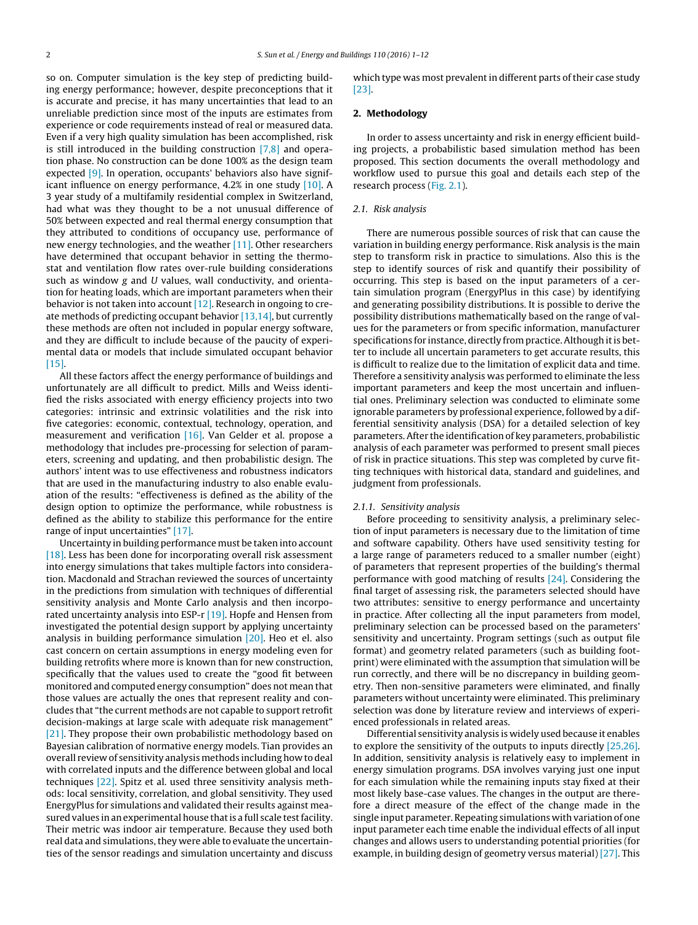so on. Computer simulation is the key step of predicting building energy performance; however, despite preconceptions that it is accurate and precise, it has many uncertainties that lead to an unreliable prediction since most of the inputs are estimates from experience or code requirements instead of real or measured data. Even if a very high quality simulation has been accomplished, risk is still introduced in the building construction  $[7,8]$  and operation phase. No construction can be done 100% as the design team expected [\[9\].](#page--1-0) In operation, occupants' behaviors also have significant influence on energy performance, 4.2% in one study [\[10\].](#page--1-0) A 3 year study of a multifamily residential complex in Switzerland, had what was they thought to be a not unusual difference of 50% between expected and real thermal energy consumption that they attributed to conditions of occupancy use, performance of new energy technologies, and the weather [\[11\].](#page--1-0) Other researchers have determined that occupant behavior in setting the thermostat and ventilation flow rates over-rule building considerations such as window g and U values, wall conductivity, and orientation for heating loads, which are important parameters when their behavior is not taken into account [\[12\].](#page--1-0) Research in ongoing to create methods of predicting occupant behavior  $[13,14]$ , but currently these methods are often not included in popular energy software, and they are difficult to include because of the paucity of experimental data or models that include simulated occupant behavior [\[15\].](#page--1-0)

All these factors affect the energy performance of buildings and unfortunately are all difficult to predict. Mills and Weiss identified the risks associated with energy efficiency projects into two categories: intrinsic and extrinsic volatilities and the risk into five categories: economic, contextual, technology, operation, and measurement and verification [\[16\].](#page--1-0) Van Gelder et al. propose a methodology that includes pre-processing for selection of parameters, screening and updating, and then probabilistic design. The authors' intent was to use effectiveness and robustness indicators that are used in the manufacturing industry to also enable evaluation of the results: "effectiveness is defined as the ability of the design option to optimize the performance, while robustness is defined as the ability to stabilize this performance for the entire range of input uncertainties" [\[17\].](#page--1-0)

Uncertainty in building performance must be taken into account [\[18\].](#page--1-0) Less has been done for incorporating overall risk assessment into energy simulations that takes multiple factors into consideration. Macdonald and Strachan reviewed the sources of uncertainty in the predictions from simulation with techniques of differential sensitivity analysis and Monte Carlo analysis and then incorpo-rated uncertainty analysis into ESP-r [\[19\].](#page--1-0) Hopfe and Hensen from investigated the potential design support by applying uncertainty analysis in building performance simulation [\[20\].](#page--1-0) Heo et el. also cast concern on certain assumptions in energy modeling even for building retrofits where more is known than for new construction, specifically that the values used to create the "good fit between monitored and computed energy consumption" does not mean that those values are actually the ones that represent reality and concludes that "the current methods are not capable to support retrofit decision-makings at large scale with adequate risk management" [\[21\].](#page--1-0) They propose their own probabilistic methodology based on Bayesian calibration of normative energy models. Tian provides an overall review of sensitivity analysis methods including how to deal with correlated inputs and the difference between global and local techniques [\[22\].](#page--1-0) Spitz et al. used three sensitivity analysis methods: local sensitivity, correlation, and global sensitivity. They used EnergyPlus for simulations and validated their results against measured values in an experimental house thatis a full scale testfacility. Their metric was indoor air temperature. Because they used both real data and simulations, they were able to evaluate the uncertainties of the sensor readings and simulation uncertainty and discuss

which type was most prevalent in different parts of their case study [\[23\].](#page--1-0)

#### **2. Methodology**

In order to assess uncertainty and risk in energy efficient building projects, a probabilistic based simulation method has been proposed. This section documents the overall methodology and workflow used to pursue this goal and details each step of the research process (Fig. [2.1\).](#page--1-0)

#### 2.1. Risk analysis

There are numerous possible sources of risk that can cause the variation in building energy performance. Risk analysis is the main step to transform risk in practice to simulations. Also this is the step to identify sources of risk and quantify their possibility of occurring. This step is based on the input parameters of a certain simulation program (EnergyPlus in this case) by identifying and generating possibility distributions. It is possible to derive the possibility distributions mathematically based on the range of values for the parameters or from specific information, manufacturer specifications for instance, directly from practice. Although it is better to include all uncertain parameters to get accurate results, this is difficult to realize due to the limitation of explicit data and time. Therefore a sensitivity analysis was performed to eliminate the less important parameters and keep the most uncertain and influential ones. Preliminary selection was conducted to eliminate some ignorable parameters by professional experience, followed by a differential sensitivity analysis (DSA) for a detailed selection of key parameters.After the identification of key parameters, probabilistic analysis of each parameter was performed to present small pieces of risk in practice situations. This step was completed by curve fitting techniques with historical data, standard and guidelines, and judgment from professionals.

#### 2.1.1. Sensitivity analysis

Before proceeding to sensitivity analysis, a preliminary selection of input parameters is necessary due to the limitation of time and software capability. Others have used sensitivity testing for a large range of parameters reduced to a smaller number (eight) of parameters that represent properties of the building's thermal performance with good matching of results  $[24]$ . Considering the final target of assessing risk, the parameters selected should have two attributes: sensitive to energy performance and uncertainty in practice. After collecting all the input parameters from model, preliminary selection can be processed based on the parameters' sensitivity and uncertainty. Program settings (such as output file format) and geometry related parameters (such as building footprint) were eliminated with the assumption that simulation will be run correctly, and there will be no discrepancy in building geometry. Then non-sensitive parameters were eliminated, and finally parameters without uncertainty were eliminated. This preliminary selection was done by literature review and interviews of experienced professionals in related areas.

Differential sensitivity analysis is widely used because it enables to explore the sensitivity of the outputs to inputs directly [\[25,26\].](#page--1-0) In addition, sensitivity analysis is relatively easy to implement in energy simulation programs. DSA involves varying just one input for each simulation while the remaining inputs stay fixed at their most likely base-case values. The changes in the output are therefore a direct measure of the effect of the change made in the single input parameter. Repeating simulations with variation of one input parameter each time enable the individual effects of all input changes and allows users to understanding potential priorities (for example, in building design of geometry versus material) [\[27\].](#page--1-0) This